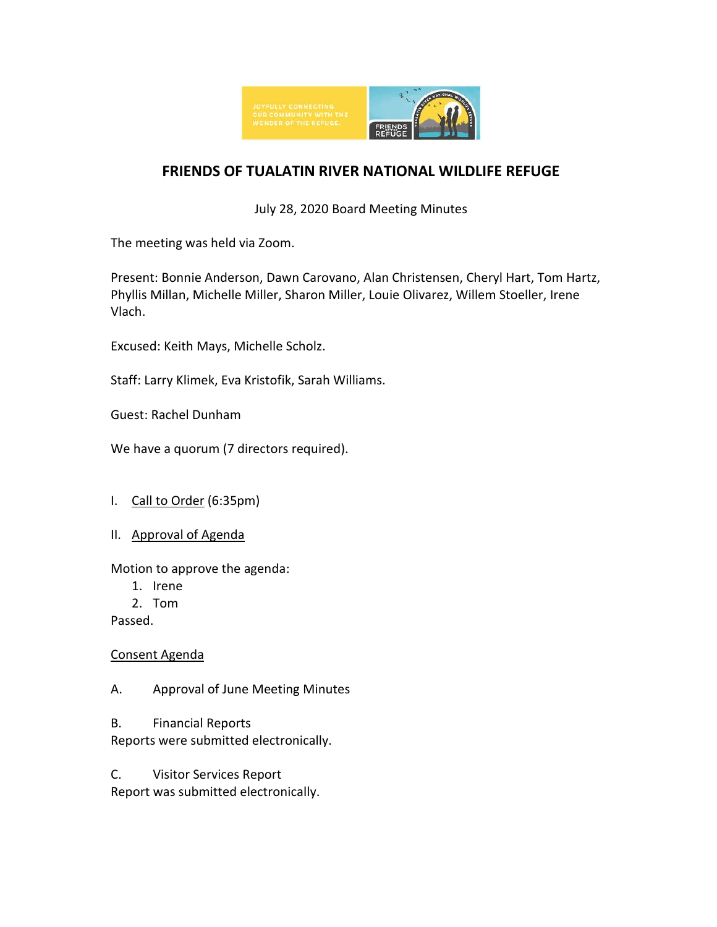

# **FRIENDS OF TUALATIN RIVER NATIONAL WILDLIFE REFUGE**

July 28, 2020 Board Meeting Minutes

The meeting was held via Zoom.

Present: Bonnie Anderson, Dawn Carovano, Alan Christensen, Cheryl Hart, Tom Hartz, Phyllis Millan, Michelle Miller, Sharon Miller, Louie Olivarez, Willem Stoeller, Irene Vlach.

Excused: Keith Mays, Michelle Scholz.

Staff: Larry Klimek, Eva Kristofik, Sarah Williams.

Guest: Rachel Dunham

We have a quorum (7 directors required).

### I. Call to Order (6:35pm)

II. Approval of Agenda

Motion to approve the agenda:

- 1. Irene
- 2. Tom

Passed.

Consent Agenda

A. Approval of June Meeting Minutes

B. Financial Reports

Reports were submitted electronically.

C. Visitor Services Report

Report was submitted electronically.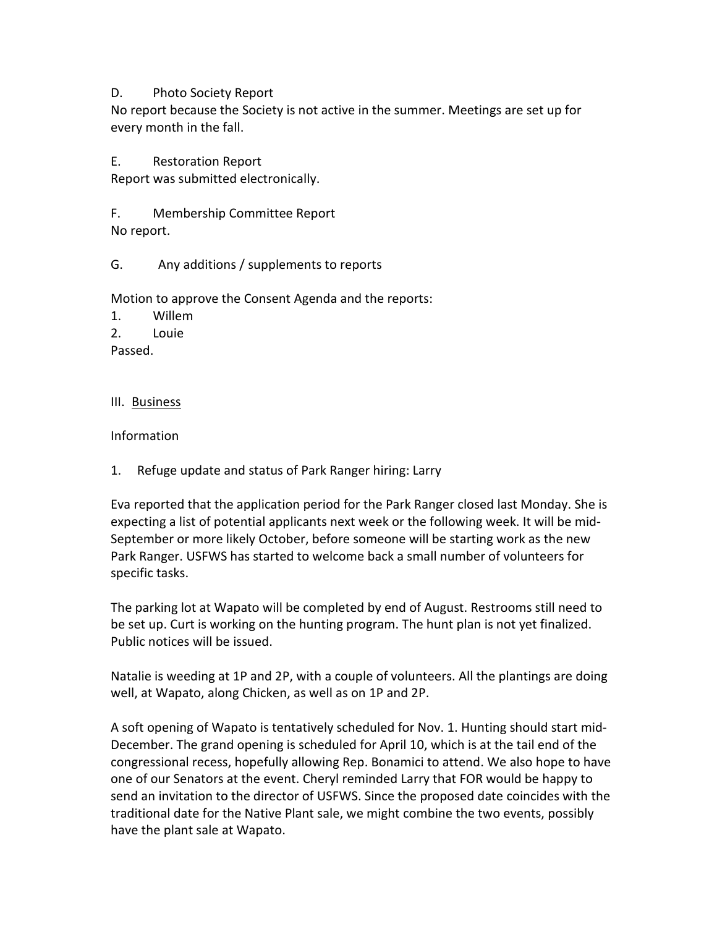### D. Photo Society Report

No report because the Society is not active in the summer. Meetings are set up for every month in the fall.

E. Restoration Report

Report was submitted electronically.

F. Membership Committee Report No report.

### G. Any additions / supplements to reports

Motion to approve the Consent Agenda and the reports:

1. Willem

2. Louie

Passed.

### III. Business

Information

1. Refuge update and status of Park Ranger hiring: Larry

Eva reported that the application period for the Park Ranger closed last Monday. She is expecting a list of potential applicants next week or the following week. It will be mid-September or more likely October, before someone will be starting work as the new Park Ranger. USFWS has started to welcome back a small number of volunteers for specific tasks.

The parking lot at Wapato will be completed by end of August. Restrooms still need to be set up. Curt is working on the hunting program. The hunt plan is not yet finalized. Public notices will be issued.

Natalie is weeding at 1P and 2P, with a couple of volunteers. All the plantings are doing well, at Wapato, along Chicken, as well as on 1P and 2P.

A soft opening of Wapato is tentatively scheduled for Nov. 1. Hunting should start mid-December. The grand opening is scheduled for April 10, which is at the tail end of the congressional recess, hopefully allowing Rep. Bonamici to attend. We also hope to have one of our Senators at the event. Cheryl reminded Larry that FOR would be happy to send an invitation to the director of USFWS. Since the proposed date coincides with the traditional date for the Native Plant sale, we might combine the two events, possibly have the plant sale at Wapato.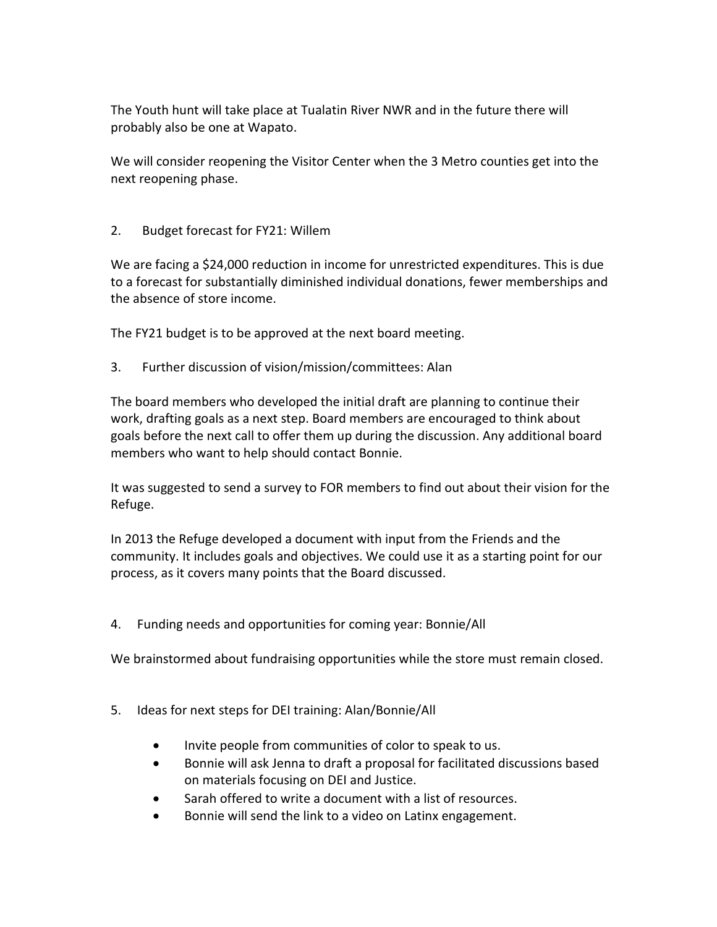The Youth hunt will take place at Tualatin River NWR and in the future there will probably also be one at Wapato.

We will consider reopening the Visitor Center when the 3 Metro counties get into the next reopening phase.

2. Budget forecast for FY21: Willem

We are facing a \$24,000 reduction in income for unrestricted expenditures. This is due to a forecast for substantially diminished individual donations, fewer memberships and the absence of store income.

The FY21 budget is to be approved at the next board meeting.

3. Further discussion of vision/mission/committees: Alan

The board members who developed the initial draft are planning to continue their work, drafting goals as a next step. Board members are encouraged to think about goals before the next call to offer them up during the discussion. Any additional board members who want to help should contact Bonnie.

It was suggested to send a survey to FOR members to find out about their vision for the Refuge.

In 2013 the Refuge developed a document with input from the Friends and the community. It includes goals and objectives. We could use it as a starting point for our process, as it covers many points that the Board discussed.

4. Funding needs and opportunities for coming year: Bonnie/All

We brainstormed about fundraising opportunities while the store must remain closed.

- 5. Ideas for next steps for DEI training: Alan/Bonnie/All
	- Invite people from communities of color to speak to us.
	- Bonnie will ask Jenna to draft a proposal for facilitated discussions based on materials focusing on DEI and Justice.
	- Sarah offered to write a document with a list of resources.
	- Bonnie will send the link to a video on Latinx engagement.